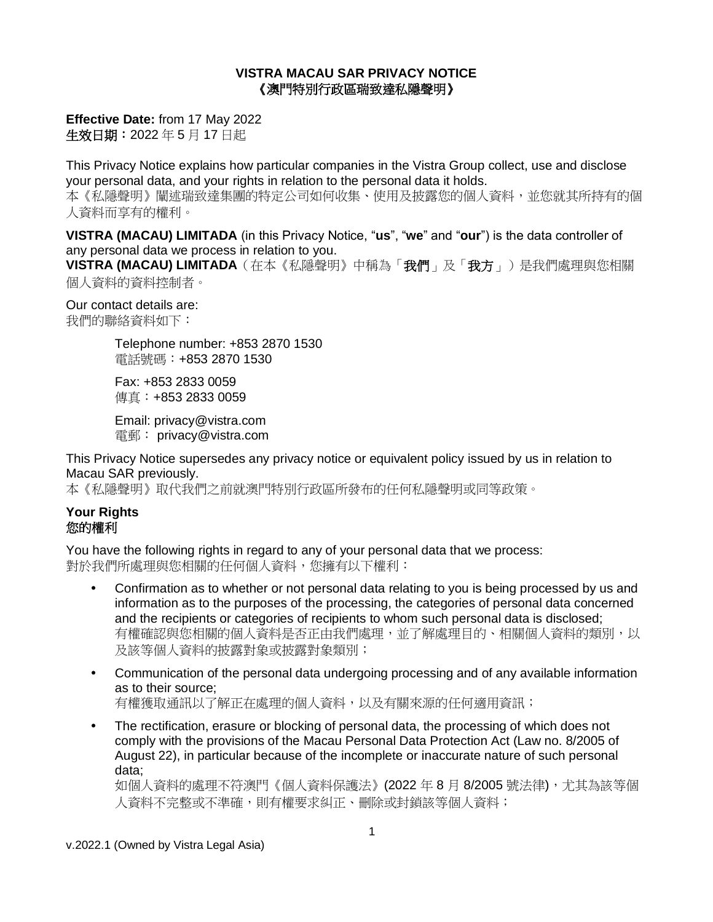#### **VISTRA MACAU SAR PRIVACY NOTICE** 《澳門特別行政區瑞致達私隱聲明》

**Effective Date:** from 17 May 2022 生效日期:2022 年 5 月 17 日起

This Privacy Notice explains how particular companies in the Vistra Group collect, use and disclose your personal data, and your rights in relation to the personal data it holds. 本《私隱聲明》闡述瑞致達集團的特定公司如何收集、使用及披露您的個人資料,並您就其所持有的個 人資料而享有的權利。

**VISTRA (MACAU) LIMITADA** (in this Privacy Notice, "**us**", "**we**" and "**our**") is the data controller of any personal data we process in relation to you.

**VISTRA (MACAU) LIMITADA**(在本《私隱聲明》中稱為「我們」及「我方」)是我們處理與您相關 個人資料的資料控制者。

Our contact details are:

我們的聯絡資料如下:

Telephone number: +853 2870 1530 電話號碼:+853 2870 1530

Fax: +853 2833 0059 傳真:+853 2833 0059

Email: privacy@vistra.com 電郵: privacy@vistra.com

This Privacy Notice supersedes any privacy notice or equivalent policy issued by us in relation to Macau SAR previously.

本《私隱聲明》取代我們之前就澳門特別行政區所發布的任何私隱聲明或同等政策。

## **Your Rights** 您的權利

You have the following rights in regard to any of your personal data that we process: 對於我們所處理與您相關的任何個人資料,您擁有以下權利:

- Confirmation as to whether or not personal data relating to you is being processed by us and information as to the purposes of the processing, the categories of personal data concerned and the recipients or categories of recipients to whom such personal data is disclosed; 有權確認與您相關的個人資料是否正由我們處理,並了解處理目的、相關個人資料的類別,以 及該等個人資料的披露對象或披露對象類別;
- Communication of the personal data undergoing processing and of any available information as to their source; 有權獲取通訊以了解正在處理的個人資料,以及有關來源的任何適用資訊;
- The rectification, erasure or blocking of personal data, the processing of which does not comply with the provisions of the Macau Personal Data Protection Act (Law no. 8/2005 of August 22), in particular because of the incomplete or inaccurate nature of such personal data;

如個人資料的處理不符澳門《個人資料保護法》(2022 年 8 月 8/2005 號法律),尤其為該等個 人資料不完整或不準確,則有權要求糾正、刪除或封鎖該等個人資料;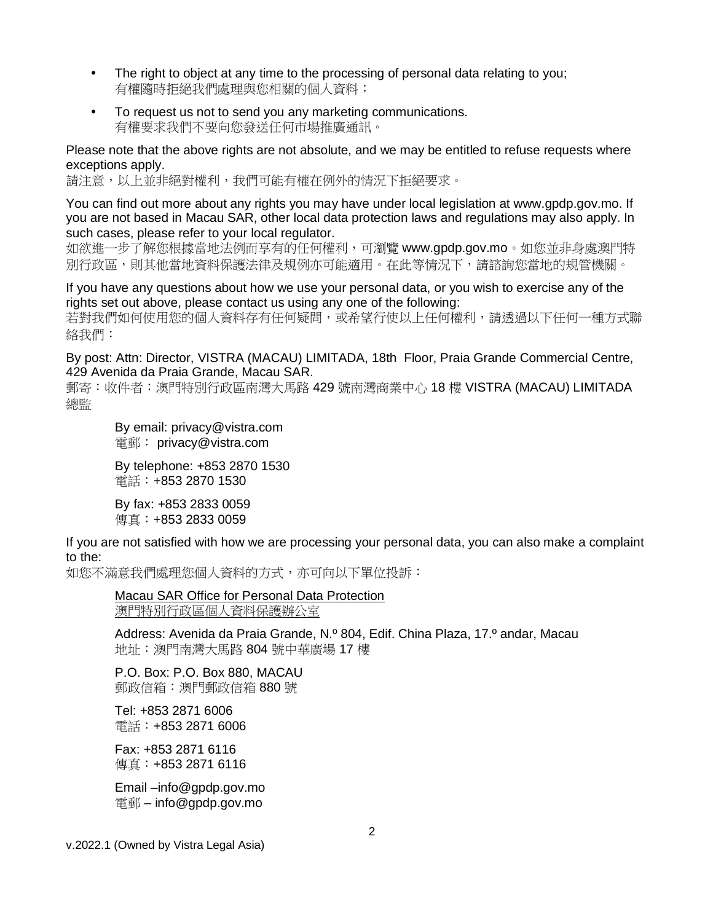- The right to object at any time to the processing of personal data relating to you; 有權隨時拒絕我們處理與您相關的個人資料;
- To request us not to send you any marketing communications. 有權要求我們不要向您發送任何市場推廣通訊。

Please note that the above rights are not absolute, and we may be entitled to refuse requests where exceptions apply.

請注意,以上並非絕對權利,我們可能有權在例外的情況下拒絕要求。

You can find out more about any rights you may have under local legislation at www.gpdp.gov.mo. If you are not based in Macau SAR, other local data protection laws and regulations may also apply. In such cases, please refer to your local regulator.

如欲進一步了解您根據當地法例而享有的任何權利,可瀏覽 www.gpdp.gov.mo。如您並非身處澳門特 別行政區,則其他當地資料保護法律及規例亦可能適用。在此等情況下,請諮詢您當地的規管機關。

If you have any questions about how we use your personal data, or you wish to exercise any of the rights set out above, please contact us using any one of the following: 若對我們如何使用您的個人資料存有任何疑問,或希望行使以上任何權利,請透過以下任何一種方式聯

By post: Attn: Director, VISTRA (MACAU) LIMITADA, 18th Floor, Praia Grande Commercial Centre, 429 Avenida da Praia Grande, Macau SAR.

郵寄:收件者:澳門特別行政區南灣大馬路 429 號南灣商業中心 18 樓 VISTRA (MACAU) LIMITADA 總監

By email: privacy@vistra.com 電郵: privacy@vistra.com

By telephone: +853 2870 1530 電話:+853 2870 1530

By fax: +853 2833 0059 傳真: +853 2833 0059

絡我們:

If you are not satisfied with how we are processing your personal data, you can also make a complaint to the:

如您不滿意我們處理您個人資料的方式,亦可向以下單位投訴:

Macau SAR Office for Personal Data Protection 澳門特別行政區個人資料保護辦公室

Address: Avenida da Praia Grande, N.º 804, Edif. China Plaza, 17.º andar, Macau 地址:澳門南灣大馬路 804 號中華廣場 17 樓

P.O. Box: P.O. Box 880, MACAU 郵政信箱:澳門郵政信箱 880 號

Tel: +853 2871 6006 電話:+853 2871 6006

Fax: +853 2871 6116 傳真:+853 2871 6116

Email –info@gpdp.gov.mo 電郵 – info@gpdp.gov.mo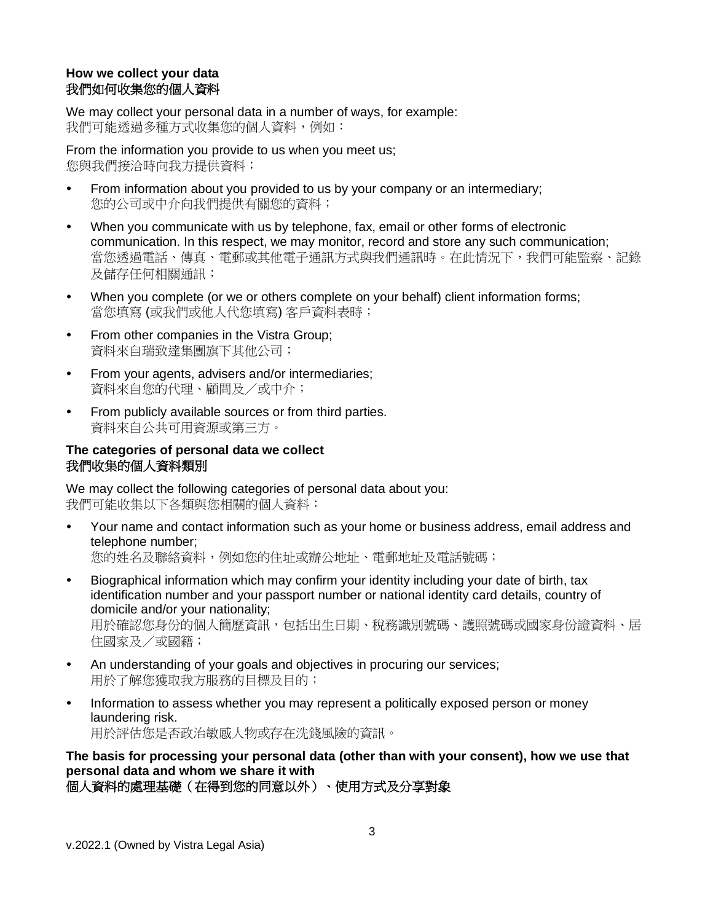# **How we collect your data** 我們如何收集您的個人資料

We may collect your personal data in a number of ways, for example: 我們可能透過多種方式收集您的個人資料,例如:

From the information you provide to us when you meet us; 您與我們接洽時向我方提供資料;

- From information about you provided to us by your company or an intermediary; 您的公司或中介向我們提供有關您的資料;
- When you communicate with us by telephone, fax, email or other forms of electronic communication. In this respect, we may monitor, record and store any such communication; 當您诱過電話、傳真、電郵或其他電子通訊方式與我們通訊時。在此情況下,我們可能監察、記錄 及儲存任何相關通訊;
- When you complete (or we or others complete on your behalf) client information forms; 當您填寫 (或我們或他人代您填寫) 客戶資料表時;
- From other companies in the Vistra Group; 資料來自瑞致達集團旗下其他公司;
- From your agents, advisers and/or intermediaries; 資料來自您的代理、顧問及/或中介;
- From publicly available sources or from third parties. 資料來自公共可用資源或第三方。

## **The categories of personal data we collect** 我們收集的個人資料類別

We may collect the following categories of personal data about you: 我們可能收集以下各類與您相關的個人資料:

- Your name and contact information such as your home or business address, email address and telephone number; 您的姓名及聯絡資料,例如您的住址或辦公地址、電郵地址及電話號碼;
- Biographical information which may confirm your identity including your date of birth, tax identification number and your passport number or national identity card details, country of domicile and/or your nationality; 用於確認您身份的個人簡歷資訊,包括出生日期、稅務識別號碼、護照號碼或國家身份證資料、居 住國家及/或國籍;
- An understanding of your goals and objectives in procuring our services; 用於了解您獲取我方服務的目標及目的;
- Information to assess whether you may represent a politically exposed person or money laundering risk. 用於評估您是否政治敏感人物或存在洗錢風險的資訊。

**The basis for processing your personal data (other than with your consent), how we use that personal data and whom we share it with** 個人資料的處理基礎(在得到您的同意以外)、使用方式及分享對象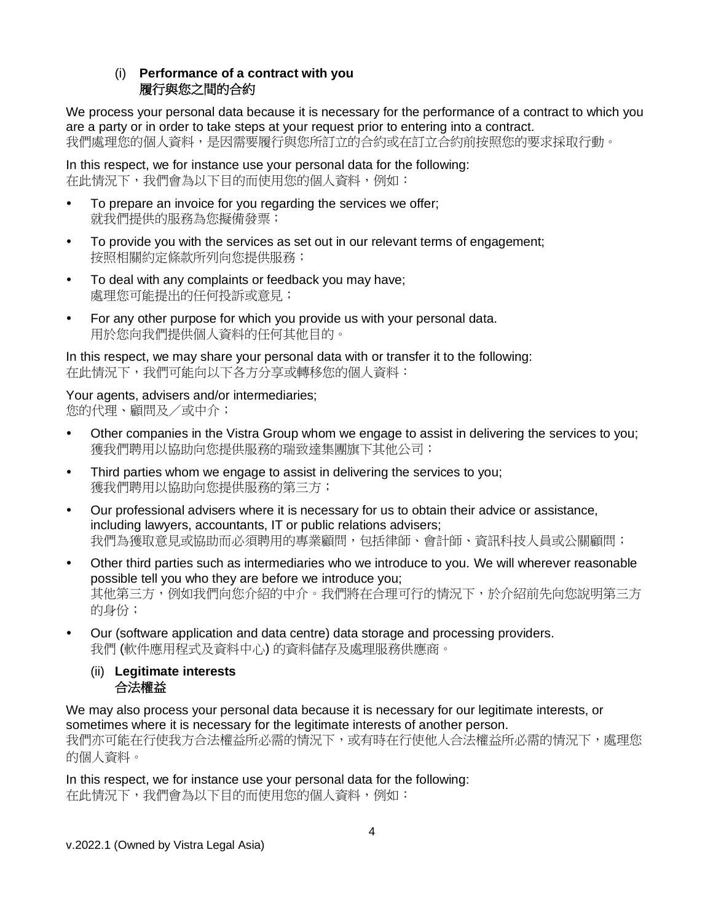# (i) **Performance of a contract with you** 履行與您之間的合約

We process your personal data because it is necessary for the performance of a contract to which you are a party or in order to take steps at your request prior to entering into a contract. 我們處理您的個人資料,是因需要履行與您所訂立的合約或在訂立合約前按照您的要求採取行動。

In this respect, we for instance use your personal data for the following: 在此情況下,我們會為以下目的而使用您的個人資料,例如:

- To prepare an invoice for you regarding the services we offer; 就我們提供的服務為您擬備發票;
- To provide you with the services as set out in our relevant terms of engagement; 按照相關約定條款所列向您提供服務;
- To deal with any complaints or feedback you may have; 處理您可能提出的任何投訴或意見;
- For any other purpose for which you provide us with your personal data. 用於您向我們提供個人資料的任何其他目的。

In this respect, we may share your personal data with or transfer it to the following: 在此情況下,我們可能向以下各方分享或轉移您的個人資料:

Your agents, advisers and/or intermediaries; 您的代理、顧問及/或中介;

- Other companies in the Vistra Group whom we engage to assist in delivering the services to you; 獲我們聘用以協助向您提供服務的瑞致達集團旗下其他公司;
- Third parties whom we engage to assist in delivering the services to you; 獲我們聘用以協助向您提供服務的第三方;
- Our professional advisers where it is necessary for us to obtain their advice or assistance, including lawyers, accountants, IT or public relations advisers; 我們為獲取意見或協助而必須聘用的專業顧問,包括律師、會計師、資訊科技人員或公關顧問;
- Other third parties such as intermediaries who we introduce to you. We will wherever reasonable possible tell you who they are before we introduce you; 其他第三方,例如我們向您介紹的中介。我們將在合理可行的情況下,於介紹前先向您說明第三方 的身份;
- Our (software application and data centre) data storage and processing providers. 我們 (軟件應用程式及資料中心) 的資料儲存及處理服務供應商。
	- (ii) **Legitimate interests** 合法權益

We may also process your personal data because it is necessary for our legitimate interests, or sometimes where it is necessary for the legitimate interests of another person. 我們亦可能在行使我方合法權益所必需的情況下,或有時在行使他人合法權益所必需的情況下,處理您 的個人資料。

In this respect, we for instance use your personal data for the following: 在此情況下,我們會為以下目的而使用您的個人資料,例如: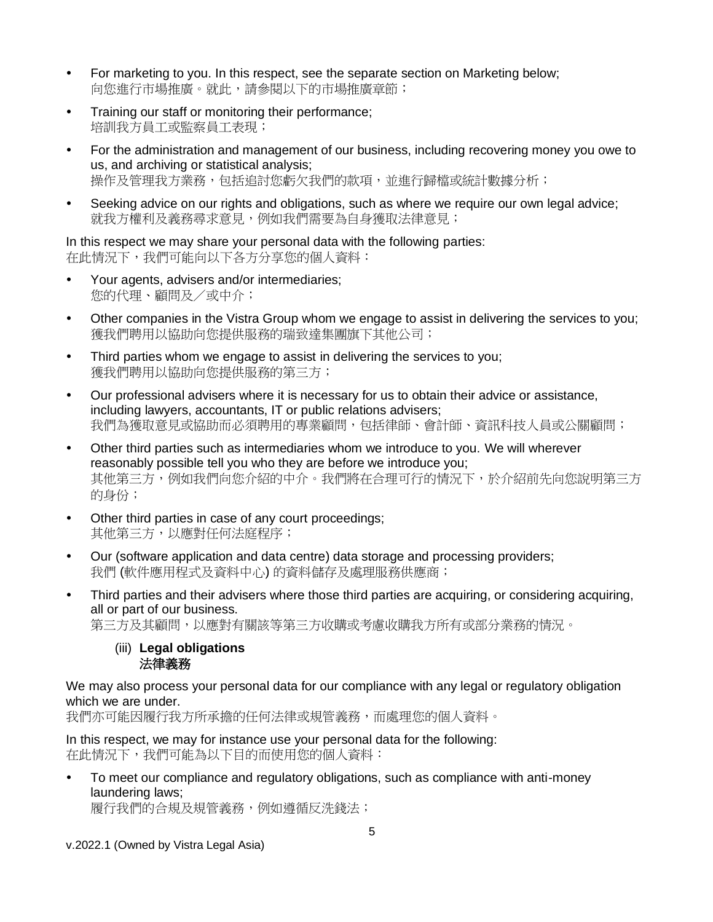- For marketing to you. In this respect, see the separate section on Marketing below; 向您進行市場推廣。就此,請參閱以下的市場推廣章節;
- Training our staff or monitoring their performance; 培訓我方員工或監察員工表現;
- For the administration and management of our business, including recovering money you owe to us, and archiving or statistical analysis; 操作及管理我方業務,包括追討您虧欠我們的款項,並進行歸檔或統計數據分析;
- Seeking advice on our rights and obligations, such as where we require our own legal advice; 就我方權利及義務尋求意見,例如我們需要為自身獲取法律意見;

In this respect we may share your personal data with the following parties: 在此情況下,我們可能向以下各方分享您的個人資料:

- Your agents, advisers and/or intermediaries; 您的代理、顧問及/或中介;
- Other companies in the Vistra Group whom we engage to assist in delivering the services to you; 獲我們聘用以協助向您提供服務的瑞致達集團旗下其他公司;
- Third parties whom we engage to assist in delivering the services to you; 獲我們聘用以協助向您提供服務的第三方;
- Our professional advisers where it is necessary for us to obtain their advice or assistance, including lawyers, accountants, IT or public relations advisers; 我們為獲取意見或協助而必須聘用的專業顧問,包括律師、會計師、資訊科技人員或公關顧問;
- Other third parties such as intermediaries whom we introduce to you. We will wherever reasonably possible tell you who they are before we introduce you; 其他第三方,例如我們向您介紹的中介。我們將在合理可行的情況下,於介紹前先向您說明第三方 的身份;
- Other third parties in case of any court proceedings; 其他第三方,以應對任何法庭程序;
- Our (software application and data centre) data storage and processing providers; 我們 (軟件應用程式及資料中心) 的資料儲存及處理服務供應商;
- Third parties and their advisers where those third parties are acquiring, or considering acquiring, all or part of our business. 第三方及其顧問,以應對有關該等第三方收購或考慮收購我方所有或部分業務的情況。
	- (iii) **Legal obligations** 法律義務

We may also process your personal data for our compliance with any legal or regulatory obligation which we are under.

我們亦可能因履行我方所承擔的任何法律或規管義務,而處理您的個人資料。

In this respect, we may for instance use your personal data for the following: 在此情況下,我們可能為以下目的而使用您的個人資料:

 To meet our compliance and regulatory obligations, such as compliance with anti-money laundering laws;

履行我們的合規及規管義務,例如遵循反洗錢法;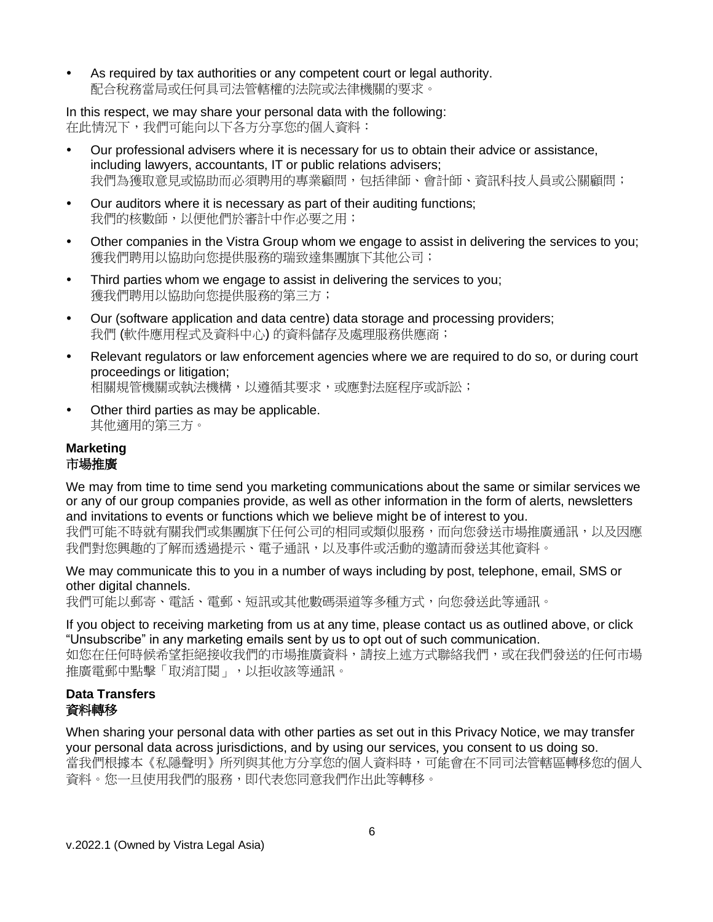As required by tax authorities or any competent court or legal authority. 配合稅務當局或任何具司法管轄權的法院或法律機關的要求。

In this respect, we may share your personal data with the following: 在此情況下,我們可能向以下各方分享您的個人資料:

- Our professional advisers where it is necessary for us to obtain their advice or assistance, including lawyers, accountants, IT or public relations advisers; 我們為獲取意見或協助而必須聘用的專業顧問,包括律師、會計師、資訊科技人員或公關顧問;
- Our auditors where it is necessary as part of their auditing functions; 我們的核數師,以便他們於審計中作必要之用;
- Other companies in the Vistra Group whom we engage to assist in delivering the services to you; 獲我們聘用以協助向您提供服務的瑞致達集團旗下其他公司;
- Third parties whom we engage to assist in delivering the services to you; 獲我們聘用以協助向您提供服務的第三方;
- Our (software application and data centre) data storage and processing providers; 我們 (軟件應用程式及資料中心) 的資料儲存及處理服務供應商;
- Relevant regulators or law enforcement agencies where we are required to do so, or during court proceedings or litigation; 相關規管機關或執法機構,以薄循其要求,或應對法庭程序或訴訟;
- Other third parties as may be applicable. 其他適用的第三方。

## **Marketing** 市場推廣

We may from time to time send you marketing communications about the same or similar services we or any of our group companies provide, as well as other information in the form of alerts, newsletters and invitations to events or functions which we believe might be of interest to you.

我們可能不時就有關我們或集團旗下任何公司的相同或類似服務,而向您發送市場推廣通訊,以及因應 我們對您興趣的了解而透過提示、電子通訊,以及事件或活動的邀請而發送其他資料。

We may communicate this to you in a number of ways including by post, telephone, email, SMS or other digital channels.

我們可能以郵寄、電話、電郵、短訊或其他數碼渠道等多種方式,向您發送此等通訊。

If you object to receiving marketing from us at any time, please contact us as outlined above, or click "Unsubscribe" in any marketing emails sent by us to opt out of such communication.

如您在任何時候希望拒絕接收我們的市場推廣資料,請按上述方式聯絡我們,或在我們發送的任何市場 推廣電郵中點擊「取消訂閱」,以拒收該等通訊。

# **Data Transfers** 資料轉移

When sharing your personal data with other parties as set out in this Privacy Notice, we may transfer your personal data across jurisdictions, and by using our services, you consent to us doing so. 當我們根據本《私隱聲明》所列與其他方分享您的個人資料時,可能會在不同司法管轄區轉移您的個人 資料。您一旦使用我們的服務,即代表您同意我們作出此等轉移。